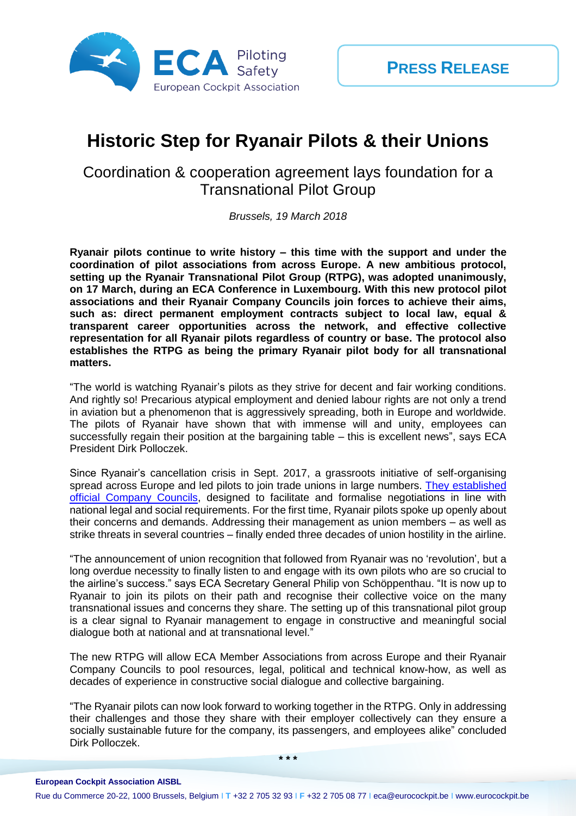

## **Historic Step for Ryanair Pilots & their Unions**

## Coordination & cooperation agreement lays foundation for a Transnational Pilot Group

*Brussels, 19 March 2018*

**Ryanair pilots continue to write history – this time with the support and under the coordination of pilot associations from across Europe. A new ambitious protocol, setting up the Ryanair Transnational Pilot Group (RTPG), was adopted unanimously, on 17 March, during an ECA Conference in Luxembourg. With this new protocol pilot associations and their Ryanair Company Councils join forces to achieve their aims, such as: direct permanent employment contracts subject to local law, equal & transparent career opportunities across the network, and effective collective representation for all Ryanair pilots regardless of country or base. The protocol also establishes the RTPG as being the primary Ryanair pilot body for all transnational matters.** 

"The world is watching Ryanair's pilots as they strive for decent and fair working conditions. And rightly so! Precarious atypical employment and denied labour rights are not only a trend in aviation but a phenomenon that is aggressively spreading, both in Europe and worldwide. The pilots of Ryanair have shown that with immense will and unity, employees can successfully regain their position at the bargaining table – this is excellent news", says ECA President Dirk Polloczek.

Since Ryanair's cancellation crisis in Sept. 2017, a grassroots initiative of self-organising spread across Europe and led pilots to join trade unions in large numbers. They established [official Company Councils,](http://www.eurocockpit.be/news/number-7-ryanair-pilots-story-doesnt-end-here) designed to facilitate and formalise negotiations in line with national legal and social requirements. For the first time, Ryanair pilots spoke up openly about their concerns and demands. Addressing their management as union members – as well as strike threats in several countries – finally ended three decades of union hostility in the airline.

"The announcement of union recognition that followed from Ryanair was no 'revolution', but a long overdue necessity to finally listen to and engage with its own pilots who are so crucial to the airline's success." says ECA Secretary General Philip von Schöppenthau. "It is now up to Ryanair to join its pilots on their path and recognise their collective voice on the many transnational issues and concerns they share. The setting up of this transnational pilot group is a clear signal to Ryanair management to engage in constructive and meaningful social dialogue both at national and at transnational level."

The new RTPG will allow ECA Member Associations from across Europe and their Ryanair Company Councils to pool resources, legal, political and technical know-how, as well as decades of experience in constructive social dialogue and collective bargaining.

"The Ryanair pilots can now look forward to working together in the RTPG. Only in addressing their challenges and those they share with their employer collectively can they ensure a socially sustainable future for the company, its passengers, and employees alike" concluded Dirk Polloczek.